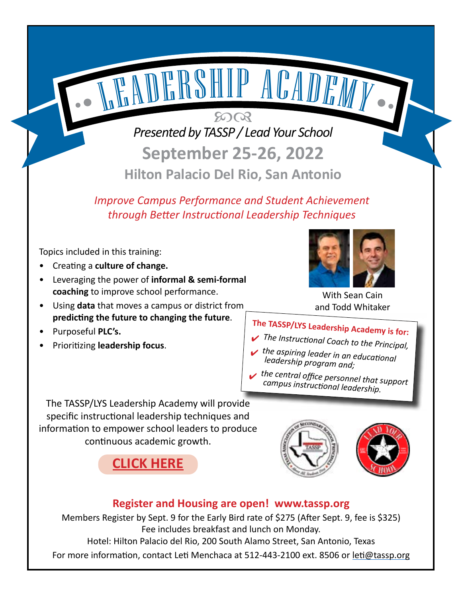*Presented by TASSP / Lead Your School* **September 25-26, 2022**

 $5003$ 

LADERSHIP ACADEMY.

**Hilton Palacio Del Rio, San Antonio**

*Improve Campus Performance and Student Achievement through Better Instructional Leadership Techniques*

Topics included in this training:

- Creating a **culture of change.**
- Leveraging the power of **informal & semi-formal coaching** to improve school performance.
- Using **data** that moves a campus or district from **predicting the future to changing the future**.
- Purposeful **PLC's.**
- Prioritizing **leadership focus**.



With Sean Cain and Todd Whitaker

# **The TASSP/LYS Leadership Academy is for:**

- ✔ *The Instructional Coach to the Principal,*
- ✔ *the aspiring leader in an educational leadership program and;*
- ✔ *the central office personnel that support campus instructional leadership.*

The TASSP/LYS Leadership Academy will provide specific instructional leadership techniques and information to empower school leaders to produce continuous academic growth.







## **Register and Housing are open! [www.tassp.org](http://www.tassp.org)**

Members Register by Sept. 9 for the Early Bird rate of \$275 (After Sept. 9, fee is \$325) Fee includes breakfast and lunch on Monday.

Hotel: Hilton Palacio del Rio, 200 South Alamo Street, San Antonio, Texas

For more information, contact Leti Menchaca at 512-443-2100 ext. 8506 or leti[@tassp.org](mailto:leti%40tassp.org?subject=)